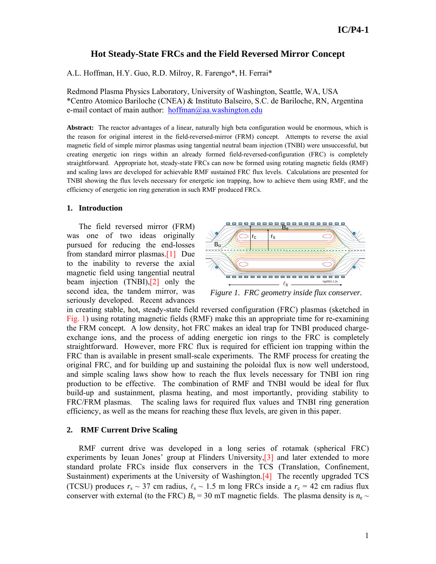# **Hot Steady-State FRCs and the Field Reversed Mirror Concept**

A.L. Hoffman, H.Y. Guo, R.D. Milroy, R. Farengo\*, H. Ferrai\*

Redmond Plasma Physics Laboratory, University of Washington, Seattle, WA, USA \*Centro Atomico Bariloche (CNEA) & Instituto Balseiro, S.C. de Bariloche, RN, Argentina e-mail contact of main author:  $\text{hoffman}(a)$ aa.washington.edu

**Abstract:** The reactor advantages of a linear, naturally high beta configuration would be enormous, which is the reason for original interest in the field-reversed-mirror (FRM) concept. Attempts to reverse the axial magnetic field of simple mirror plasmas using tangential neutral beam injection (TNBI) were unsuccessful, but creating energetic ion rings within an already formed field-reversed-configuration (FRC) is completely straightforward. Appropriate hot, steady-state FRCs can now be formed using rotating magnetic fields (RMF) and scaling laws are developed for achievable RMF sustained FRC flux levels. Calculations are presented for TNBI showing the flux levels necessary for energetic ion trapping, how to achieve them using RMF, and the efficiency of energetic ion ring generation in such RMF produced FRCs.

#### **1. Introduction**

The field reversed mirror (FRM) was one of two ideas originally pursued for reducing the end-losses from standard mirror plasmas.[1] Due to the inability to reverse the axial magnetic field using tangential neutral beam injection (TNBI),[2] only the second idea, the tandem mirror, was seriously developed. Recent advances



*Figure 1. FRC geometry inside flux conserver.* 

in creating stable, hot, steady-state field reversed configuration (FRC) plasmas (sketched in Fig. 1) using rotating magnetic fields (RMF) make this an appropriate time for re-examining the FRM concept. A low density, hot FRC makes an ideal trap for TNBI produced chargeexchange ions, and the process of adding energetic ion rings to the FRC is completely straightforward. However, more FRC flux is required for efficient ion trapping within the FRC than is available in present small-scale experiments. The RMF process for creating the original FRC, and for building up and sustaining the poloidal flux is now well understood, and simple scaling laws show how to reach the flux levels necessary for TNBI ion ring production to be effective. The combination of RMF and TNBI would be ideal for flux build-up and sustainment, plasma heating, and most importantly, providing stability to FRC/FRM plasmas. The scaling laws for required flux values and TNBI ring generation efficiency, as well as the means for reaching these flux levels, are given in this paper.

### **2. RMF Current Drive Scaling**

RMF current drive was developed in a long series of rotamak (spherical FRC) experiments by Ieuan Jones' group at Flinders University, [3] and later extended to more standard prolate FRCs inside flux conservers in the TCS (Translation, Confinement, Sustainment) experiments at the University of Washington.[4] The recently upgraded TCS (TCSU) produces  $r_s \sim 37$  cm radius,  $\ell_s \sim 1.5$  m long FRCs inside a  $r_c = 42$  cm radius flux conserver with external (to the FRC)  $B_e = 30$  mT magnetic fields. The plasma density is  $n_e \sim$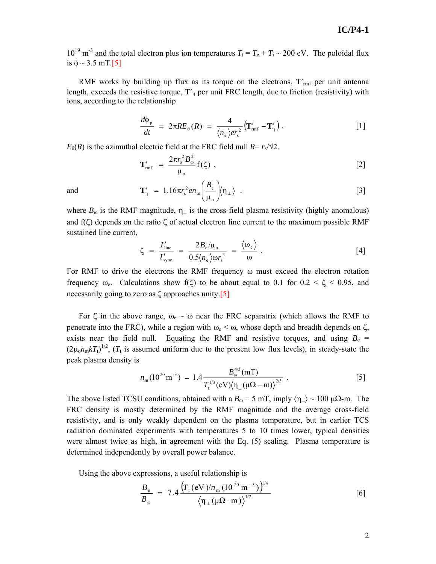## **IC/P4-1**

 $10^{19}$  m<sup>-3</sup> and the total electron plus ion temperatures  $T_t = T_e + T_i \sim 200$  eV. The poloidal flux is  $\phi \sim 3.5$  mT.[5]

RMF works by building up flux as its torque on the electrons,  $T'_{\text{rm}}$  per unit antenna length, exceeds the resistive torque, **T**′η per unit FRC length, due to friction (resistivity) with ions, according to the relationship

$$
\frac{d\Phi_{\rm p}}{dt} = 2\pi RE_{\rm \theta}(R) = \frac{4}{\langle n_{\rm e} \rangle er_{\rm s}^2} \left( \mathbf{T}'_{\rm mrf} - \mathbf{T}'_{\rm \eta} \right). \tag{1}
$$

 $E_{\theta}(R)$  is the azimuthal electric field at the FRC field null  $R = r_s/\sqrt{2}$ .

$$
\mathbf{T}'_{\rm mf} = \frac{2\pi r_{\rm s}^2 B_{\rm o}^2}{\mu_{\rm o}} \mathbf{f}(\zeta) \tag{2}
$$

and 
$$
\mathbf{T}'_{\eta} = 1.16\pi r_s^2 e n_m \left(\frac{B_e}{\mu_o}\right) \langle \eta_{\perp} \rangle . \qquad [3]
$$

where  $B_{\omega}$  is the RMF magnitude,  $\eta_{\perp}$  is the cross-field plasma resistivity (highly anomalous) and  $f(\zeta)$  depends on the ratio  $\zeta$  of actual electron line current to the maximum possible RMF sustained line current,

$$
\zeta = \frac{I'_{\text{line}}}{I'_{\text{sync}}} = \frac{2B_e/\mu_o}{0.5\langle n_e \rangle \omega r_s^2} = \frac{\langle \omega_e \rangle}{\omega} \ . \tag{4}
$$

For RMF to drive the electrons the RMF frequency ω must exceed the electron rotation frequency  $\omega_e$ . Calculations show f(ζ) to be about equal to 0.1 for  $0.2 < \zeta < 0.95$ , and necessarily going to zero as  $\zeta$  approaches unity.[5]

For  $\zeta$  in the above range,  $\omega_e \sim \omega$  near the FRC separatrix (which allows the RMF to penetrate into the FRC), while a region with  $\omega_e < \omega$ , whose depth and breadth depends on  $\zeta$ , exists near the field null. Equating the RMF and resistive torques, and using  $B_e$  =  $(2\mu_0 n_m kT_t)^{1/2}$ ,  $(T_t$  is assumed uniform due to the present low flux levels), in steady-state the peak plasma density is

$$
n_{\rm m}(10^{20}\,\rm m^{-3}) = 1.4 \frac{B_{\omega}^{4/3}(\rm mT)}{T_{\rm t}^{1/3}(\rm eV) \langle \eta_{\perp}(\mu\Omega - \rm m) \rangle^{2/3}} \ . \tag{5}
$$

The above listed TCSU conditions, obtained with a  $B_{\omega} = 5$  mT, imply  $\langle \eta_{\perp} \rangle \sim 100 \mu\Omega$ -m. The FRC density is mostly determined by the RMF magnitude and the average cross-field resistivity, and is only weakly dependent on the plasma temperature, but in earlier TCS radiation dominated experiments with temperatures 5 to 10 times lower, typical densities were almost twice as high, in agreement with the Eq. (5) scaling. Plasma temperature is determined independently by overall power balance.

Using the above expressions, a useful relationship is

$$
\frac{B_{\rm e}}{B_{\rm \omega}} = 7.4 \frac{\left(T_{\rm t} (\rm eV)/n_{\rm m} (10^{20} \rm m^{-3})\right)^{1/4}}{\left(\eta_{\perp} (\mu\Omega - \rm m)\right)^{1/2}}
$$
 [6]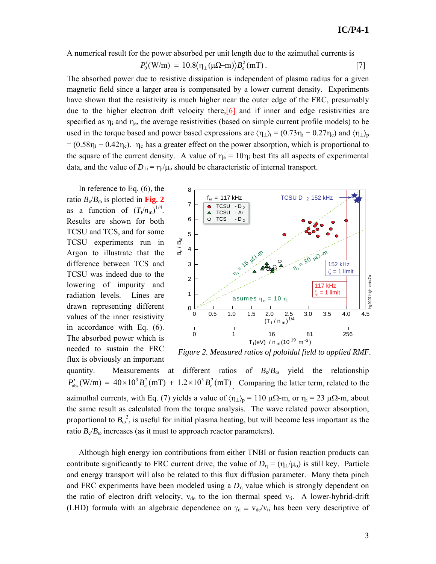A numerical result for the power absorbed per unit length due to the azimuthal currents is

$$
P'_{\theta}(W/m) = 10.8 \langle \eta_{\perp}(\mu \Omega - m) \rangle B_{\rm e}^2(mT). \qquad [7]
$$

The absorbed power due to resistive dissipation is independent of plasma radius for a given magnetic field since a larger area is compensated by a lower current density. Experiments have shown that the resistivity is much higher near the outer edge of the FRC, presumably due to the higher electron drift velocity there,  $\boxed{6}$  and if inner and edge resistivities are specified as  $\eta_i$  and  $\eta_e$ , the average resistivities (based on simple current profile models) to be used in the torque based and power based expressions are  $\langle \eta_{\perp} \rangle_t = (0.73 \eta_i + 0.27 \eta_e)$  and  $\langle \eta_{\perp} \rangle_p$  $= (0.58\eta_i + 0.42\eta_e)$ .  $\eta_e$  has a greater effect on the power absorption, which is proportional to the square of the current density. A value of  $\eta_e = 10\eta_i$  best fits all aspects of experimental data, and the value of  $D_{\perp i} = \eta_i / \mu_0$  should be characteristic of internal transport.

In reference to Eq. (6), the ratio  $B_e/B_{\omega}$  is plotted in Fig. 2 as a function of  $(T_t/n_m)^{1/4}$ . Results are shown for both TCSU and TCS, and for some TCSU experiments run in Argon to illustrate that the difference between TCS and TCSU was indeed due to the lowering of impurity and radiation levels. Lines are drawn representing different values of the inner resistivity in accordance with Eq. (6). The absorbed power which is needed to sustain the FRC flux is obviously an important



*Figure 2. Measured ratios of poloidal field to applied RMF.* 

quantity. Measurements at different ratios of  $B_e/B_{\omega}$  yield the relationship  $(W/m) = 40 \times 10^3 B_\odot^2 (mT) + 1.2 \times 10^3 B_\text{e}^2 (mT)$  $^{2}$ (mT)  $12 \times 10^{3}$  $P'_{\text{abs}}(W/m) = 40 \times 10^3 B_{\text{o}}^2(mT) + 1.2 \times 10^3 B_{\text{e}}^2(mT)$  Comparing the latter term, related to the azimuthal currents, with Eq. (7) yields a value of  $\langle \eta_{\perp} \rangle_p = 110 \mu\Omega$ -m, or  $\eta_i = 23 \mu\Omega$ -m, about the same result as calculated from the torque analysis. The wave related power absorption, proportional to  $B_{\omega}^2$ , is useful for initial plasma heating, but will become less important as the ratio  $B_e/B_\omega$  increases (as it must to approach reactor parameters).

Although high energy ion contributions from either TNBI or fusion reaction products can contribute significantly to FRC current drive, the value of  $D_{\eta} = (\eta_{\perp}/\mu_0)$  is still key. Particle and energy transport will also be related to this flux diffusion parameter. Many theta pinch and FRC experiments have been modeled using a  $D_n$  value which is strongly dependent on the ratio of electron drift velocity,  $v_{de}$  to the ion thermal speed  $v_{ti}$ . A lower-hybrid-drift (LHD) formula with an algebraic dependence on  $\gamma_d \equiv v_{de}/v_{ti}$  has been very descriptive of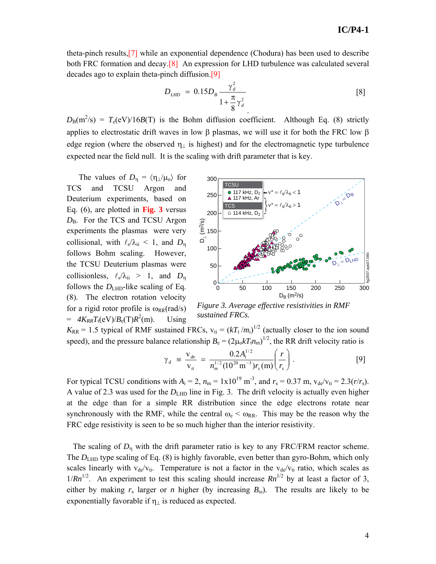theta-pinch results,[7] while an exponential dependence (Chodura) has been used to describe both FRC formation and decay.[8] An expression for LHD turbulence was calculated several decades ago to explain theta-pinch diffusion.[9]

$$
D_{LHD} = 0.15D_B \frac{\gamma_d^2}{1 + \frac{\pi}{8} \gamma_d^2}
$$
 [8]

 $D_{\rm B}(m^2/s) = T_{\rm e}(eV)/16B(T)$  is the Bohm diffusion coefficient. Although Eq. (8) strictly applies to electrostatic drift waves in low  $\beta$  plasmas, we will use it for both the FRC low  $\beta$ edge region (where the observed  $\eta_{\perp}$  is highest) and for the electromagnetic type turbulence expected near the field null. It is the scaling with drift parameter that is key.

The values of  $D_n = \langle \eta_1/\mu_0 \rangle$  for TCS and TCSU Argon and Deuterium experiments, based on Eq. (6), are plotted in **Fig. 3** versus  $D_{\rm B}$ . For the TCS and TCSU Argon experiments the plasmas were very collisional, with  $\ell_s/\lambda_{ii} < 1$ , and  $D_n$ follows Bohm scaling. However, the TCSU Deuterium plasmas were collisionless,  $\ell_s/\lambda_{ii} > 1$ , and  $D_n$ follows the  $D<sub>LHD</sub>$ -like scaling of Eq. (8). The electron rotation velocity for a rigid rotor profile is  $\omega_{RR}(rad/s)$  $= 4K_{RR}T_{t}(eV)/B_{e}(T)R^{2}(m).$ Using



*Figure 3. Average effective resistivities in RMF sustained FRCs.*

 $K_{RR}$  = 1.5 typical of RMF sustained FRCs,  $v_{ti} = (kT_t/m_i)^{1/2}$  (actually closer to the ion sound speed), and the pressure balance relationship  $B_e = (2\mu_0 kT_t n_m)^{1/2}$ , the RR drift velocity ratio is

$$
\gamma_d = \frac{v_{de}}{v_{ti}} = \frac{0.2A_i^{1/2}}{n_m^{1/2}(10^{20} \text{m}^{-3})r_s(\text{m})} \bigg(\frac{r}{r_s}\bigg). \tag{9}
$$

For typical TCSU conditions with  $A_i = 2$ ,  $n_m = 1 \times 10^{19}$  m<sup>-3</sup>, and  $r_s = 0.37$  m,  $v_{de}/v_{ti} = 2.3(r/r_s)$ . A value of 2.3 was used for the  $D<sub>LHD</sub>$  line in Fig. 3. The drift velocity is actually even higher at the edge than for a simple RR distribution since the edge electrons rotate near synchronously with the RMF, while the central  $\omega_e < \omega_{RR}$ . This may be the reason why the FRC edge resistivity is seen to be so much higher than the interior resistivity.

The scaling of  $D_n$  with the drift parameter ratio is key to any FRC/FRM reactor scheme. The  $D<sub>LHD</sub>$  type scaling of Eq. (8) is highly favorable, even better than gyro-Bohm, which only scales linearly with  $v_{de}/v_{ti}$ . Temperature is not a factor in the  $v_{de}/v_{ti}$  ratio, which scales as  $1/Rn^{1/2}$ . An experiment to test this scaling should increase  $Rn^{1/2}$  by at least a factor of 3, either by making  $r_s$  larger or *n* higher (by increasing  $B_\omega$ ). The results are likely to be exponentially favorable if  $\eta_{\perp}$  is reduced as expected.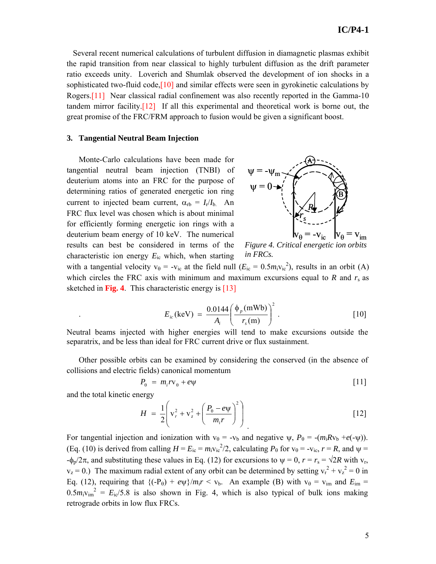Several recent numerical calculations of turbulent diffusion in diamagnetic plasmas exhibit the rapid transition from near classical to highly turbulent diffusion as the drift parameter ratio exceeds unity. Loverich and Shumlak observed the development of ion shocks in a sophisticated two-fluid code,[10] and similar effects were seen in gyrokinetic calculations by Rogers.[11] Near classical radial confinement was also recently reported in the Gamma-10 tandem mirror facility.<sup>[12]</sup> If all this experimental and theoretical work is borne out, the great promise of the FRC/FRM approach to fusion would be given a significant boost.

### **3. Tangential Neutral Beam Injection**

Monte-Carlo calculations have been made for tangential neutral beam injection (TNBI) of deuterium atoms into an FRC for the purpose of determining ratios of generated energetic ion ring current to injected beam current,  $\alpha_{rb} = I_r/I_b$ . An FRC flux level was chosen which is about minimal for efficiently forming energetic ion rings with a deuterium beam energy of 10 keV. The numerical results can best be considered in terms of the characteristic ion energy *E*ic which, when starting



*Figure 4. Critical energetic ion orbits in FRCs.*

with a tangential velocity  $v_\theta = -v_{ic}$  at the field null  $(E_{ic} = 0.5 m_i v_{ic}^2)$ , results in an orbit (A) which circles the FRC axis with minimum and maximum excursions equal to  $R$  and  $r_s$  as sketched in **Fig. 4**. This characteristic energy is [13]

$$
E_{ic}(\text{keV}) = \frac{0.0144}{A_i} \left( \frac{\phi_p(\text{mWb})}{r_s(\text{m})} \right)^2.
$$
 [10]

Neutral beams injected with higher energies will tend to make excursions outside the separatrix, and be less than ideal for FRC current drive or flux sustainment.

Other possible orbits can be examined by considering the conserved (in the absence of collisions and electric fields) canonical momentum

$$
P_{\theta} = m_i r v_{\theta} + e \psi \tag{11}
$$

and the total kinetic energy

.

$$
H = \frac{1}{2} \left( v_r^2 + v_z^2 + \left( \frac{P_{\theta} - e \psi}{m_i r} \right)^2 \right)
$$
 [12]

For tangential injection and ionization with  $v_{\theta} = -v_{\theta}$  and negative  $\psi$ ,  $P_{\theta} = -(m_{i}Rv_{b} + e(-\psi))$ . (Eq. (10) is derived from calling  $H = E_{ic} = m_i v_{ic}^2/2$ , calculating  $P_\theta$  for  $v_\theta = -v_{ic}$ ,  $r = R$ , and  $\psi =$  $-\phi_p/2\pi$ , and substituting these values in Eq. (12) for excursions to  $\psi = 0$ ,  $r = r_s = \sqrt{2R}$  with  $v_r$ ,  $v_z = 0$ .) The maximum radial extent of any orbit can be determined by setting  $v_r^2 + v_z^2 = 0$  in Eq. (12), requiring that  ${(-P_\theta) + e \psi}/m_i r < v_b$ . An example (B) with  $v_\theta = v_{im}$  and  $E_{im} =$  $0.5m_1v_{\rm im}^2 = E_{\rm ic}/5.8$  is also shown in Fig. 4, which is also typical of bulk ions making retrograde orbits in low flux FRCs.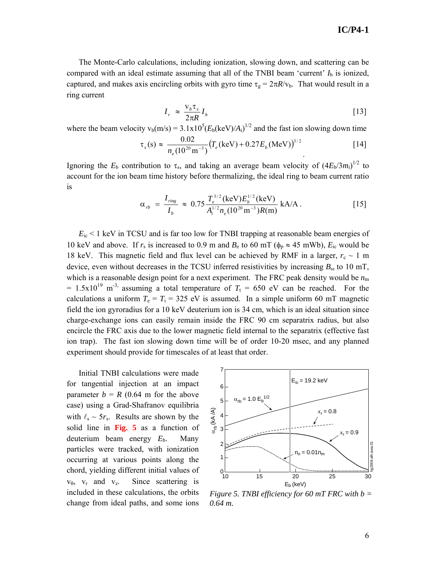The Monte-Carlo calculations, including ionization, slowing down, and scattering can be compared with an ideal estimate assuming that all of the TNBI beam 'current'  $I<sub>b</sub>$  is ionized, captured, and makes axis encircling orbits with gyro time  $\tau_g = 2\pi R/v_b$ . That would result in a ring current

$$
I_r \approx \frac{V_b \tau_s}{2\pi R} I_b \tag{13}
$$

where the beam velocity  $v_b(m/s) = 3.1x10^5 (E_b(keV)/A_i)^{1/2}$  and the fast ion slowing down time

$$
\tau_s(s) \approx \frac{0.02}{n_e (10^{20} \,\text{m}^{-3})} \left( T_e (\text{keV}) + 0.27 E_b (\text{MeV}) \right)^{3/2} \tag{14}
$$

Ignoring the  $E_b$  contribution to  $\tau_s$ , and taking an average beam velocity of  $(4E_b/3m_i)^{1/2}$  to account for the ion beam time history before thermalizing, the ideal ring to beam current ratio is

$$
\alpha_{rb} = \frac{I_{ring}}{I_b} \approx 0.75 \frac{T_e^{3/2} (\text{keV}) E_b^{1/2} (\text{keV})}{A_i^{1/2} n_e (10^{20} \text{m}^{-3}) R(\text{m})} \text{ kA/A} \,. \tag{15}
$$

 $E_i$  < 1 keV in TCSU and is far too low for TNBI trapping at reasonable beam energies of 10 keV and above. If  $r_s$  is increased to 0.9 m and  $B_e$  to 60 mT ( $\phi_p \approx 45$  mWb),  $E_i$  would be 18 keV. This magnetic field and flux level can be achieved by RMF in a larger,  $r_c \sim 1$  m device, even without decreases in the TCSU inferred resistivities by increasing  $B_{\omega}$  to 10 mT, which is a reasonable design point for a next experiment. The FRC peak density would be  $n<sub>m</sub>$ =  $1.5x10^{19}$  m<sup>-3,</sup> assuming a total temperature of  $T<sub>t</sub>$  = 650 eV can be reached. For the calculations a uniform  $T_e = T_i = 325$  eV is assumed. In a simple uniform 60 mT magnetic field the ion gyroradius for a 10 keV deuterium ion is 34 cm, which is an ideal situation since charge-exchange ions can easily remain inside the FRC 90 cm separatrix radius, but also encircle the FRC axis due to the lower magnetic field internal to the separatrix (effective fast ion trap). The fast ion slowing down time will be of order 10-20 msec, and any planned experiment should provide for timescales of at least that order.

Initial TNBI calculations were made for tangential injection at an impact parameter  $b = R$  (0.64 m for the above case) using a Grad-Shafranov equilibria with  $\ell_s \sim 5r_s$ . Results are shown by the solid line in **Fig. 5** as a function of deuterium beam energy *E*b. Many particles were tracked, with ionization occurring at various points along the chord, yielding different initial values of  $v_{\theta}$ ,  $v_r$  and  $v_z$ . Since scattering is included in these calculations, the orbits change from ideal paths, and some ions



*Figure 5. TNBI efficiency for 60 mT FRC with b = 0.64 m.*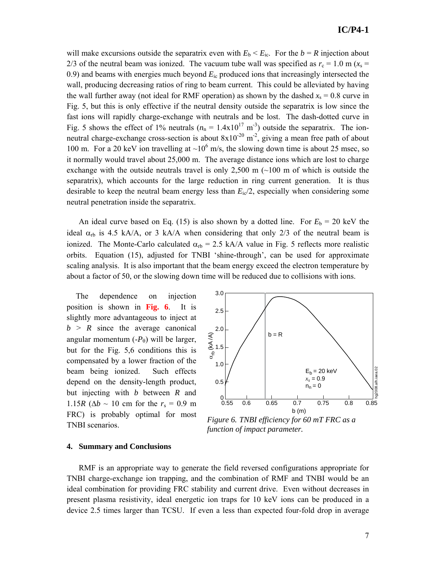will make excursions outside the separatrix even with  $E_b \le E_{ic}$ . For the  $b = R$  injection about 2/3 of the neutral beam was ionized. The vacuum tube wall was specified as  $r_c = 1.0$  m ( $x_s =$ 0.9) and beams with energies much beyond *E*ic produced ions that increasingly intersected the wall, producing decreasing ratios of ring to beam current. This could be alleviated by having the wall further away (not ideal for RMF operation) as shown by the dashed  $x_s = 0.8$  curve in Fig. 5, but this is only effective if the neutral density outside the separatrix is low since the fast ions will rapidly charge-exchange with neutrals and be lost. The dash-dotted curve in Fig. 5 shows the effect of 1% neutrals  $(n_n = 1.4 \times 10^{17} \text{ m}^{-3})$  outside the separatrix. The ionneutral charge-exchange cross-section is about  $8x10^{-20}$  m<sup>-2</sup>, giving a mean free path of about 100 m. For a 20 keV ion travelling at  $\sim 10^6$  m/s, the slowing down time is about 25 msec, so it normally would travel about 25,000 m. The average distance ions which are lost to charge exchange with the outside neutrals travel is only  $2,500 \text{ m}$  ( $\sim 100 \text{ m}$  of which is outside the separatrix), which accounts for the large reduction in ring current generation. It is thus desirable to keep the neutral beam energy less than  $E_i/2$ , especially when considering some neutral penetration inside the separatrix.

An ideal curve based on Eq. (15) is also shown by a dotted line. For  $E_b = 20 \text{ keV}$  the ideal  $\alpha_{rb}$  is 4.5 kA/A, or 3 kA/A when considering that only 2/3 of the neutral beam is ionized. The Monte-Carlo calculated  $\alpha_{rb} = 2.5 \text{ kA/A}$  value in Fig. 5 reflects more realistic orbits. Equation (15), adjusted for TNBI 'shine-through', can be used for approximate scaling analysis. It is also important that the beam energy exceed the electron temperature by about a factor of 50, or the slowing down time will be reduced due to collisions with ions.

The dependence on injection position is shown in **Fig. 6**. It is slightly more advantageous to inject at  $b > R$  since the average canonical angular momentum  $(-P_{\theta})$  will be larger, but for the Fig. 5,6 conditions this is compensated by a lower fraction of the beam being ionized. Such effects depend on the density-length product, but injecting with *b* between *R* and 1.15*R* ( $Δb \sim 10$  cm for the *r<sub>s</sub>* = 0.9 m FRC) is probably optimal for most TNBI scenarios.



*Figure 6. TNBI efficiency for 60 mT FRC as a function of impact parameter.* 

### **4. Summary and Conclusions**

RMF is an appropriate way to generate the field reversed configurations appropriate for TNBI charge-exchange ion trapping, and the combination of RMF and TNBI would be an ideal combination for providing FRC stability and current drive. Even without decreases in present plasma resistivity, ideal energetic ion traps for 10 keV ions can be produced in a device 2.5 times larger than TCSU. If even a less than expected four-fold drop in average